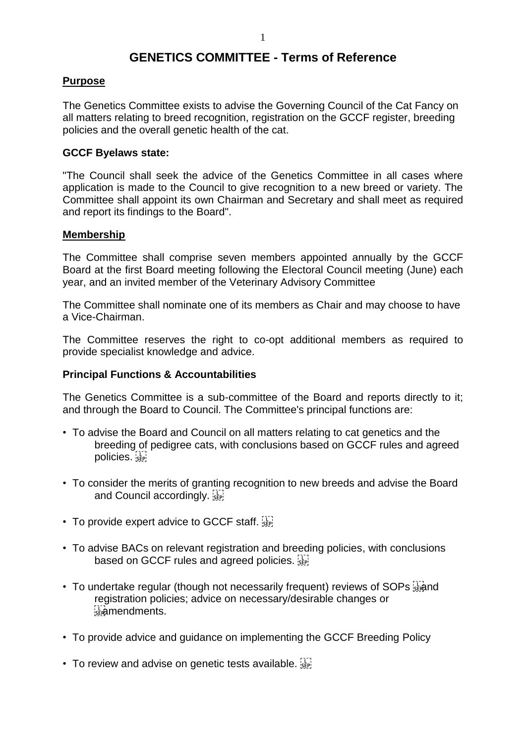# **GENETICS COMMITTEE - Terms of Reference**

## **Purpose**

The Genetics Committee exists to advise the Governing Council of the Cat Fancy on all matters relating to breed recognition, registration on the GCCF register, breeding policies and the overall genetic health of the cat.

### **GCCF Byelaws state:**

"The Council shall seek the advice of the Genetics Committee in all cases where application is made to the Council to give recognition to a new breed or variety. The Committee shall appoint its own Chairman and Secretary and shall meet as required and report its findings to the Board".

### **Membership**

The Committee shall comprise seven members appointed annually by the GCCF Board at the first Board meeting following the Electoral Council meeting (June) each year, and an invited member of the Veterinary Advisory Committee

The Committee shall nominate one of its members as Chair and may choose to have a Vice-Chairman.

The Committee reserves the right to co-opt additional members as required to provide specialist knowledge and advice.

#### **Principal Functions & Accountabilities**

The Genetics Committee is a sub-committee of the Board and reports directly to it; and through the Board to Council. The Committee's principal functions are:

- To advise the Board and Council on all matters relating to cat genetics and the breeding of pedigree cats, with conclusions based on GCCF rules and agreed policies.
- To consider the merits of granting recognition to new breeds and advise the Board and Council accordingly.  $\frac{1}{35}$
- To provide expert advice to GCCF staff.
- To advise BACs on relevant registration and breeding policies, with conclusions based on GCCF rules and agreed policies.
- To undertake regular (though not necessarily frequent) reviews of SOPs  $\ddot{\ddot{\rm s}}$  regional registration policies; advice on necessary/desirable changes or *<u>B</u>idmendments.*
- To provide advice and guidance on implementing the GCCF Breeding Policy
- To review and advise on genetic tests available.